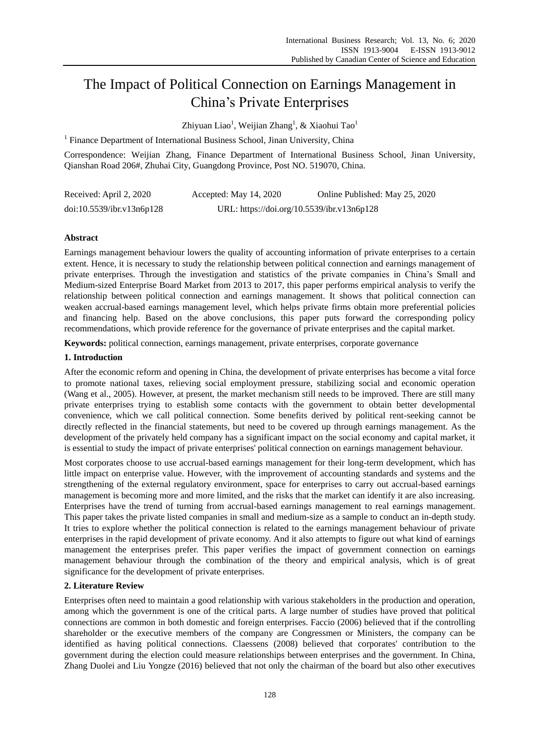# The Impact of Political Connection on Earnings Management in China's Private Enterprises

Zhiyuan Liao $^{\rm l}$ , Weijian Zhang $^{\rm l}$ , & Xiaohui Tao $^{\rm l}$ 

<sup>1</sup> Finance Department of International Business School, Jinan University, China

Correspondence: Weijian Zhang, Finance Department of International Business School, Jinan University, Qianshan Road 206#, Zhuhai City, Guangdong Province, Post NO. 519070, China.

| Received: April 2, 2020   | Accepted: May 14, 2020                     | Online Published: May 25, 2020 |
|---------------------------|--------------------------------------------|--------------------------------|
| doi:10.5539/ibr.v13n6p128 | URL: https://doi.org/10.5539/ibr.v13n6p128 |                                |

# **Abstract**

Earnings management behaviour lowers the quality of accounting information of private enterprises to a certain extent. Hence, it is necessary to study the relationship between political connection and earnings management of private enterprises. Through the investigation and statistics of the private companies in China's Small and Medium-sized Enterprise Board Market from 2013 to 2017, this paper performs empirical analysis to verify the relationship between political connection and earnings management. It shows that political connection can weaken accrual-based earnings management level, which helps private firms obtain more preferential policies and financing help. Based on the above conclusions, this paper puts forward the corresponding policy recommendations, which provide reference for the governance of private enterprises and the capital market.

**Keywords:** political connection, earnings management, private enterprises, corporate governance

## **1. Introduction**

After the economic reform and opening in China, the development of private enterprises has become a vital force to promote national taxes, relieving social employment pressure, stabilizing social and economic operation (Wang et al., 2005). However, at present, the market mechanism still needs to be improved. There are still many private enterprises trying to establish some contacts with the government to obtain better developmental convenience, which we call political connection. Some benefits derived by political rent-seeking cannot be directly reflected in the financial statements, but need to be covered up through earnings management. As the development of the privately held company has a significant impact on the social economy and capital market, it is essential to study the impact of private enterprises' political connection on earnings management behaviour.

Most corporates choose to use accrual-based earnings management for their long-term development, which has little impact on enterprise value. However, with the improvement of accounting standards and systems and the strengthening of the external regulatory environment, space for enterprises to carry out accrual-based earnings management is becoming more and more limited, and the risks that the market can identify it are also increasing. Enterprises have the trend of turning from accrual-based earnings management to real earnings management. This paper takes the private listed companies in small and medium-size as a sample to conduct an in-depth study. It tries to explore whether the political connection is related to the earnings management behaviour of private enterprises in the rapid development of private economy. And it also attempts to figure out what kind of earnings management the enterprises prefer. This paper verifies the impact of government connection on earnings management behaviour through the combination of the theory and empirical analysis, which is of great significance for the development of private enterprises.

# **2. Literature Review**

Enterprises often need to maintain a good relationship with various stakeholders in the production and operation, among which the government is one of the critical parts. A large number of studies have proved that political connections are common in both domestic and foreign enterprises. Faccio (2006) believed that if the controlling shareholder or the executive members of the company are Congressmen or Ministers, the company can be identified as having political connections. Claessens (2008) believed that corporates' contribution to the government during the election could measure relationships between enterprises and the government. In China, Zhang Duolei and Liu Yongze (2016) believed that not only the chairman of the board but also other executives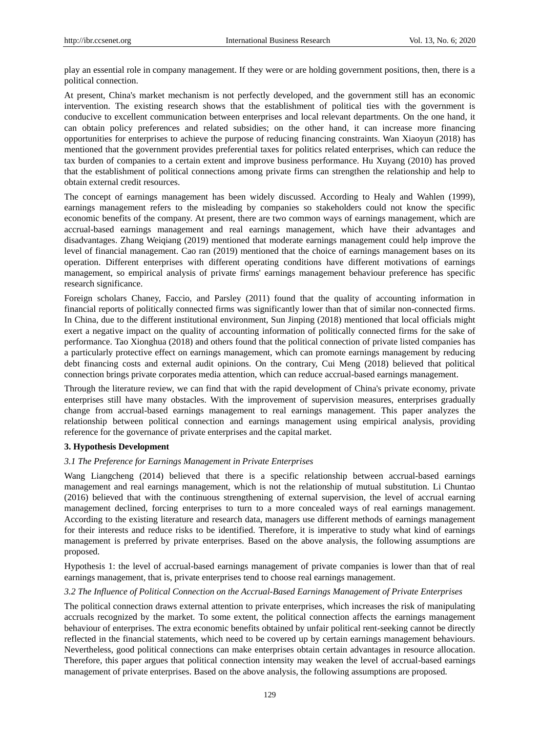play an essential role in company management. If they were or are holding government positions, then, there is a political connection.

At present, China's market mechanism is not perfectly developed, and the government still has an economic intervention. The existing research shows that the establishment of political ties with the government is conducive to excellent communication between enterprises and local relevant departments. On the one hand, it can obtain policy preferences and related subsidies; on the other hand, it can increase more financing opportunities for enterprises to achieve the purpose of reducing financing constraints. Wan Xiaoyun (2018) has mentioned that the government provides preferential taxes for politics related enterprises, which can reduce the tax burden of companies to a certain extent and improve business performance. Hu Xuyang (2010) has proved that the establishment of political connections among private firms can strengthen the relationship and help to obtain external credit resources.

The concept of earnings management has been widely discussed. According to Healy and Wahlen (1999), earnings management refers to the misleading by companies so stakeholders could not know the specific economic benefits of the company. At present, there are two common ways of earnings management, which are accrual-based earnings management and real earnings management, which have their advantages and disadvantages. Zhang Weiqiang (2019) mentioned that moderate earnings management could help improve the level of financial management. Cao ran (2019) mentioned that the choice of earnings management bases on its operation. Different enterprises with different operating conditions have different motivations of earnings management, so empirical analysis of private firms' earnings management behaviour preference has specific research significance.

Foreign scholars Chaney, Faccio, and Parsley (2011) found that the quality of accounting information in financial reports of politically connected firms was significantly lower than that of similar non-connected firms. In China, due to the different institutional environment, Sun Jinping (2018) mentioned that local officials might exert a negative impact on the quality of accounting information of politically connected firms for the sake of performance. Tao Xionghua (2018) and others found that the political connection of private listed companies has a particularly protective effect on earnings management, which can promote earnings management by reducing debt financing costs and external audit opinions. On the contrary, Cui Meng (2018) believed that political connection brings private corporates media attention, which can reduce accrual-based earnings management.

Through the literature review, we can find that with the rapid development of China's private economy, private enterprises still have many obstacles. With the improvement of supervision measures, enterprises gradually change from accrual-based earnings management to real earnings management. This paper analyzes the relationship between political connection and earnings management using empirical analysis, providing reference for the governance of private enterprises and the capital market.

# **3. Hypothesis Development**

#### *3.1 The Preference for Earnings Management in Private Enterprises*

Wang Liangcheng (2014) believed that there is a specific relationship between accrual-based earnings management and real earnings management, which is not the relationship of mutual substitution. Li Chuntao (2016) believed that with the continuous strengthening of external supervision, the level of accrual earning management declined, forcing enterprises to turn to a more concealed ways of real earnings management. According to the existing literature and research data, managers use different methods of earnings management for their interests and reduce risks to be identified. Therefore, it is imperative to study what kind of earnings management is preferred by private enterprises. Based on the above analysis, the following assumptions are proposed.

Hypothesis 1: the level of accrual-based earnings management of private companies is lower than that of real earnings management, that is, private enterprises tend to choose real earnings management.

#### *3.2 The Influence of Political Connection on the Accrual-Based Earnings Management of Private Enterprises*

The political connection draws external attention to private enterprises, which increases the risk of manipulating accruals recognized by the market. To some extent, the political connection affects the earnings management behaviour of enterprises. The extra economic benefits obtained by unfair political rent-seeking cannot be directly reflected in the financial statements, which need to be covered up by certain earnings management behaviours. Nevertheless, good political connections can make enterprises obtain certain advantages in resource allocation. Therefore, this paper argues that political connection intensity may weaken the level of accrual-based earnings management of private enterprises. Based on the above analysis, the following assumptions are proposed.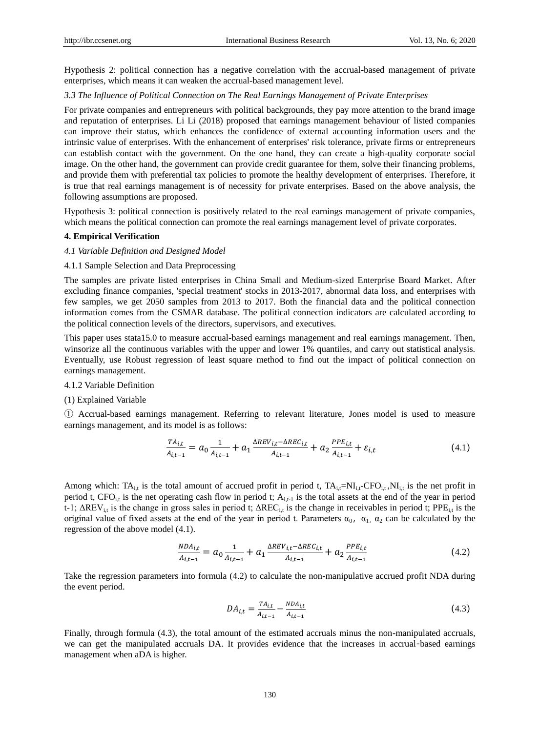Hypothesis 2: political connection has a negative correlation with the accrual-based management of private enterprises, which means it can weaken the accrual-based management level.

#### *3.3 The Influence of Political Connection on The Real Earnings Management of Private Enterprises*

For private companies and entrepreneurs with political backgrounds, they pay more attention to the brand image and reputation of enterprises. Li Li (2018) proposed that earnings management behaviour of listed companies can improve their status, which enhances the confidence of external accounting information users and the intrinsic value of enterprises. With the enhancement of enterprises' risk tolerance, private firms or entrepreneurs can establish contact with the government. On the one hand, they can create a high-quality corporate social image. On the other hand, the government can provide credit guarantee for them, solve their financing problems, and provide them with preferential tax policies to promote the healthy development of enterprises. Therefore, it is true that real earnings management is of necessity for private enterprises. Based on the above analysis, the following assumptions are proposed.

Hypothesis 3: political connection is positively related to the real earnings management of private companies, which means the political connection can promote the real earnings management level of private corporates.

#### **4. Empirical Verification**

#### *4.1 Variable Definition and Designed Model*

#### 4.1.1 Sample Selection and Data Preprocessing

The samples are private listed enterprises in China Small and Medium-sized Enterprise Board Market. After excluding finance companies, 'special treatment' stocks in 2013-2017, abnormal data loss, and enterprises with few samples, we get 2050 samples from 2013 to 2017. Both the financial data and the political connection information comes from the CSMAR database. The political connection indicators are calculated according to the political connection levels of the directors, supervisors, and executives.

This paper uses stata15.0 to measure accrual-based earnings management and real earnings management. Then, winsorize all the continuous variables with the upper and lower 1% quantiles, and carry out statistical analysis. Eventually, use Robust regression of least square method to find out the impact of political connection on earnings management.

#### 4.1.2 Variable Definition

#### (1) Explained Variable

① Accrual-based earnings management. Referring to relevant literature, Jones model is used to measure earnings management, and its model is as follows:

$$
\frac{TA_{i,t}}{A_{i,t-1}} = a_0 \frac{1}{A_{i,t-1}} + a_1 \frac{\Delta REV_{i,t} - \Delta REC_{i,t}}{A_{i,t-1}} + a_2 \frac{PPE_{i,t}}{A_{i,t-1}} + \varepsilon_{i,t}
$$
(4.1)

Among which:  $TA_{i,t}$  is the total amount of accrued profit in period t,  $TA_{i,t}=NI_{i,t}-CFO_{i,t}$ , $NI_{i,t}$  is the net profit in period t,  $CFO_{i,t}$  is the net operating cash flow in period t;  $A_{i,t-1}$  is the total assets at the end of the year in period t-1;  $\Delta$ REV<sub>i,t</sub> is the change in gross sales in period t;  $\Delta$ REC<sub>i,t</sub> is the change in receivables in period t; PPE<sub>i,t</sub> is the original value of fixed assets at the end of the year in period t. Parameters  $\alpha_0$ ,  $\alpha_1$ ,  $\alpha_2$  can be calculated by the regression of the above model (4.1).

$$
\frac{NDA_{i,t}}{A_{i,t-1}} = a_0 \frac{1}{A_{i,t-1}} + a_1 \frac{\Delta REV_{i,t} - \Delta REC_{i,t}}{A_{i,t-1}} + a_2 \frac{PPE_{i,t}}{A_{i,t-1}}
$$
(4.2)

Take the regression parameters into formula (4.2) to calculate the non-manipulative accrued profit NDA during the event period.

$$
DA_{i,t} = \frac{TA_{i,t}}{A_{i,t-1}} - \frac{NDA_{i,t}}{A_{i,t-1}}
$$
(4.3)

Finally, through formula (4.3), the total amount of the estimated accruals minus the non-manipulated accruals, we can get the manipulated accruals DA. It provides evidence that the increases in accrual-based earnings management when aDA is higher.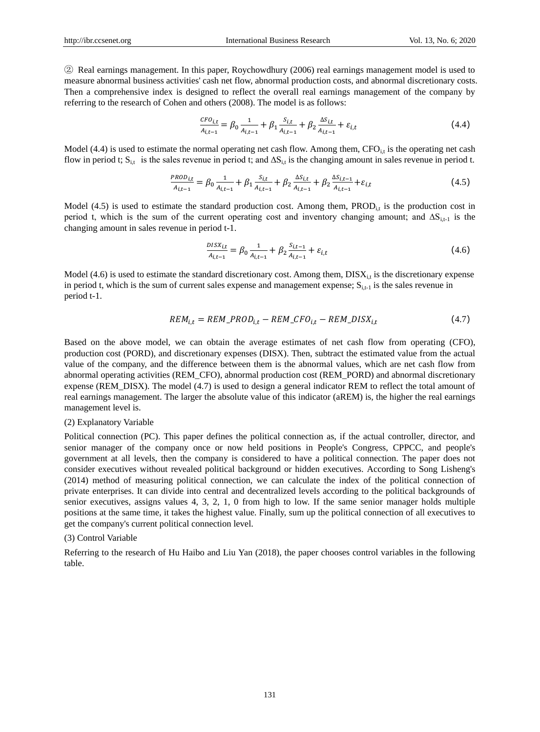② Real earnings management. In this paper, Roychowdhury (2006) real earnings management model is used to measure abnormal business activities' cash net flow, abnormal production costs, and abnormal discretionary costs. Then a comprehensive index is designed to reflect the overall real earnings management of the company by referring to the research of Cohen and others (2008). The model is as follows:

$$
\frac{c_{F0_{i,t}}}{A_{i,t-1}} = \beta_0 \frac{1}{A_{i,t-1}} + \beta_1 \frac{S_{i,t}}{A_{i,t-1}} + \beta_2 \frac{\Delta S_{i,t}}{A_{i,t-1}} + \varepsilon_{i,t}
$$
\n(4.4)

Model (4.4) is used to estimate the normal operating net cash flow. Among them,  $CFO<sub>i,t</sub>$  is the operating net cash flow in period t; S<sub>i,t</sub> is the sales revenue in period t; and  $\Delta S_{i,t}$  is the changing amount in sales revenue in period t.

$$
\frac{PROD_{i,t}}{A_{i,t-1}} = \beta_0 \frac{1}{A_{i,t-1}} + \beta_1 \frac{S_{i,t}}{A_{i,t-1}} + \beta_2 \frac{\Delta S_{i,t}}{A_{i,t-1}} + \beta_2 \frac{\Delta S_{i,t-1}}{A_{i,t-1}} + \varepsilon_{i,t}
$$
(4.5)

Model (4.5) is used to estimate the standard production cost. Among them,  $PROD_{i,t}$  is the production cost in period t, which is the sum of the current operating cost and inventory changing amount; and  $\Delta S_{i,t-1}$  is the changing amount in sales revenue in period t-1.

$$
\frac{DISX_{i,t}}{A_{i,t-1}} = \beta_0 \frac{1}{A_{i,t-1}} + \beta_2 \frac{S_{i,t-1}}{A_{i,t-1}} + \varepsilon_{i,t}
$$
\n(4.6)

Model (4.6) is used to estimate the standard discretionary cost. Among them,  $DISX_{i,t}$  is the discretionary expense in period t, which is the sum of current sales expense and management expense;  $S_{i,t-1}$  is the sales revenue in period t-1.

$$
REM_{i,t} = REM\_PROD_{i,t} - REM\_CFO_{i,t} - REM\_DISX_{i,t}
$$
\n
$$
(4.7)
$$

Based on the above model, we can obtain the average estimates of net cash flow from operating (CFO), production cost (PORD), and discretionary expenses (DISX). Then, subtract the estimated value from the actual value of the company, and the difference between them is the abnormal values, which are net cash flow from abnormal operating activities (REM\_CFO), abnormal production cost (REM\_PORD) and abnormal discretionary expense (REM\_DISX). The model (4.7) is used to design a general indicator REM to reflect the total amount of real earnings management. The larger the absolute value of this indicator (aREM) is, the higher the real earnings management level is.

#### (2) Explanatory Variable

Political connection (PC). This paper defines the political connection as, if the actual controller, director, and senior manager of the company once or now held positions in People's Congress, CPPCC, and people's government at all levels, then the company is considered to have a political connection. The paper does not consider executives without revealed political background or hidden executives. According to Song Lisheng's (2014) method of measuring political connection, we can calculate the index of the political connection of private enterprises. It can divide into central and decentralized levels according to the political backgrounds of senior executives, assigns values 4, 3, 2, 1, 0 from high to low. If the same senior manager holds multiple positions at the same time, it takes the highest value. Finally, sum up the political connection of all executives to get the company's current political connection level.

#### (3) Control Variable

Referring to the research of Hu Haibo and Liu Yan (2018), the paper chooses control variables in the following table.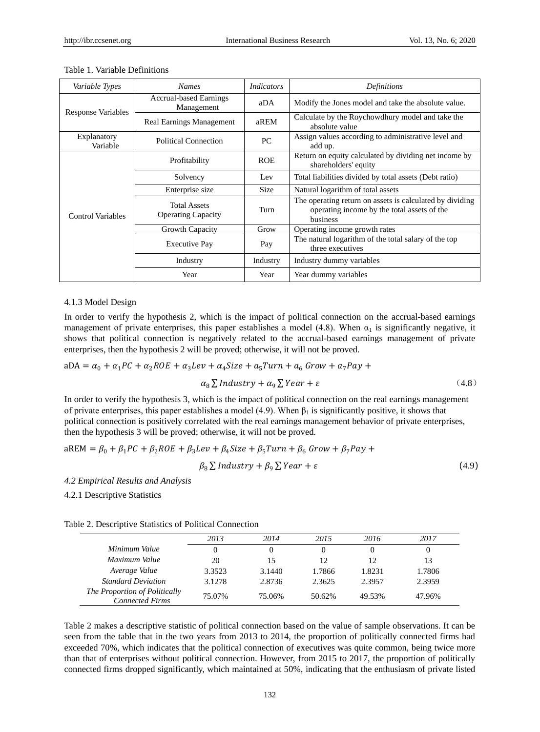| Variable Types            | <b>Names</b>                                     | <i>Indicators</i> | <b>Definitions</b>                                                                                                  |
|---------------------------|--------------------------------------------------|-------------------|---------------------------------------------------------------------------------------------------------------------|
|                           | <b>Accrual-based Earnings</b><br>Management      | aDA               | Modify the Jones model and take the absolute value.                                                                 |
| <b>Response Variables</b> | <b>Real Earnings Management</b>                  | aREM              | Calculate by the Roychowdhury model and take the<br>absolute value                                                  |
| Explanatory<br>Variable   | <b>Political Connection</b>                      | PC                | Assign values according to administrative level and<br>add up.                                                      |
|                           | Profitability                                    | <b>ROE</b>        | Return on equity calculated by dividing net income by<br>shareholders' equity                                       |
|                           | Solvency                                         | Lev               | Total liabilities divided by total assets (Debt ratio)                                                              |
|                           | Enterprise size                                  | <b>Size</b>       | Natural logarithm of total assets                                                                                   |
| Control Variables         | <b>Total Assets</b><br><b>Operating Capacity</b> | Turn              | The operating return on assets is calculated by dividing<br>operating income by the total assets of the<br>business |
|                           | Growth Capacity                                  | Grow              | Operating income growth rates                                                                                       |
|                           | <b>Executive Pay</b>                             | Pay               | The natural logarithm of the total salary of the top<br>three executives                                            |
|                           | Industry                                         | Industry          | Industry dummy variables                                                                                            |
|                           | Year                                             | Year              | Year dummy variables                                                                                                |

## Table 1. Variable Definitions

#### 4.1.3 Model Design

In order to verify the hypothesis 2, which is the impact of political connection on the accrual-based earnings management of private enterprises, this paper establishes a model (4.8). When  $\alpha_1$  is significantly negative, it shows that political connection is negatively related to the accrual-based earnings management of private enterprises, then the hypothesis 2 will be proved; otherwise, it will not be proved.

$$
aDA = \alpha_0 + \alpha_1 PC + \alpha_2 ROE + \alpha_3 Lev + \alpha_4 Size + \alpha_5 Turn + \alpha_6 \, Growth + \alpha_7 Pay +
$$

$$
\alpha_8 \sum Industry + \alpha_9 \sum Year + \varepsilon \tag{4.8}
$$

In order to verify the hypothesis 3, which is the impact of political connection on the real earnings management of private enterprises, this paper establishes a model (4.9). When  $β<sub>1</sub>$  is significantly positive, it shows that political connection is positively correlated with the real earnings management behavior of private enterprises, then the hypothesis 3 will be proved; otherwise, it will not be proved.

 $a$ REM =  $\beta_0$  +  $\beta_1$ PC +  $\beta_2$ ROE +  $\beta_3$ Lev +  $\beta_4$ Size +  $\beta_5$ Turn +  $\beta_6$  Grow +  $\beta_7$ Pay +

$$
\beta_8 \sum Industry + \beta_9 \sum Year + \varepsilon \tag{4.9}
$$

*4.2 Empirical Results and Analysis*

4.2.1 Descriptive Statistics

|                                                         | 2013   | 2014   | 2015     | 2016   | 2017   |
|---------------------------------------------------------|--------|--------|----------|--------|--------|
| Minimum Value                                           |        |        | $\theta$ |        |        |
| Maximum Value                                           | 20     | 15     | 12       | 12     | 13     |
| Average Value                                           | 3.3523 | 3.1440 | 1.7866   | 1.8231 | 1.7806 |
| <b>Standard Deviation</b>                               | 3.1278 | 2.8736 | 2.3625   | 2.3957 | 2.3959 |
| The Proportion of Politically<br><b>Connected Firms</b> | 75.07% | 75.06% | 50.62%   | 49.53% | 47.96% |

Table 2 makes a descriptive statistic of political connection based on the value of sample observations. It can be seen from the table that in the two years from 2013 to 2014, the proportion of politically connected firms had exceeded 70%, which indicates that the political connection of executives was quite common, being twice more than that of enterprises without political connection. However, from 2015 to 2017, the proportion of politically connected firms dropped significantly, which maintained at 50%, indicating that the enthusiasm of private listed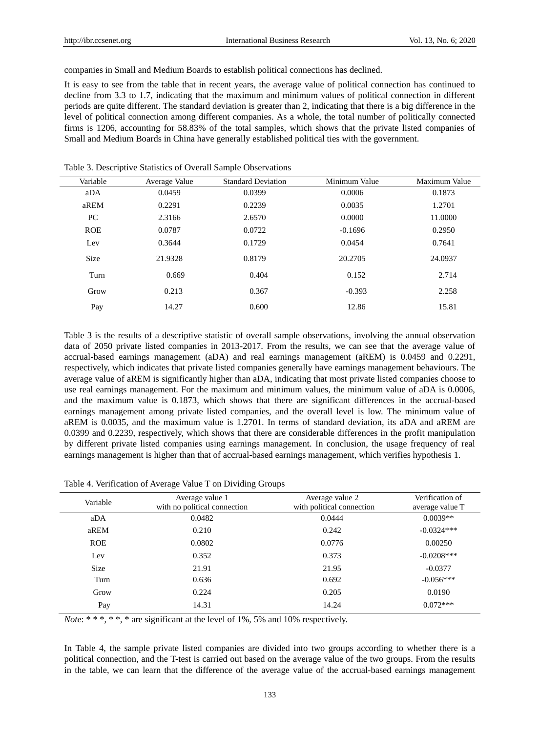companies in Small and Medium Boards to establish political connections has declined.

It is easy to see from the table that in recent years, the average value of political connection has continued to decline from 3.3 to 1.7, indicating that the maximum and minimum values of political connection in different periods are quite different. The standard deviation is greater than 2, indicating that there is a big difference in the level of political connection among different companies. As a whole, the total number of politically connected firms is 1206, accounting for 58.83% of the total samples, which shows that the private listed companies of Small and Medium Boards in China have generally established political ties with the government.

| Variable    | Average Value | <b>Standard Deviation</b> | Minimum Value | Maximum Value |
|-------------|---------------|---------------------------|---------------|---------------|
| aDA         | 0.0459        | 0.0399                    | 0.0006        | 0.1873        |
| aREM        | 0.2291        | 0.2239                    | 0.0035        | 1.2701        |
| PC.         | 2.3166        | 2.6570                    | 0.0000        | 11.0000       |
| <b>ROE</b>  | 0.0787        | 0.0722                    | $-0.1696$     | 0.2950        |
| Lev         | 0.3644        | 0.1729                    | 0.0454        | 0.7641        |
| <b>Size</b> | 21.9328       | 0.8179                    | 20.2705       | 24.0937       |
| Turn        | 0.669         | 0.404                     | 0.152         | 2.714         |
| Grow        | 0.213         | 0.367                     | $-0.393$      | 2.258         |
| Pay         | 14.27         | 0.600                     | 12.86         | 15.81         |
|             |               |                           |               |               |

Table 3. Descriptive Statistics of Overall Sample Observations

Table 3 is the results of a descriptive statistic of overall sample observations, involving the annual observation data of 2050 private listed companies in 2013-2017. From the results, we can see that the average value of accrual-based earnings management (aDA) and real earnings management (aREM) is 0.0459 and 0.2291, respectively, which indicates that private listed companies generally have earnings management behaviours. The average value of aREM is significantly higher than aDA, indicating that most private listed companies choose to use real earnings management. For the maximum and minimum values, the minimum value of aDA is 0.0006, and the maximum value is 0.1873, which shows that there are significant differences in the accrual-based earnings management among private listed companies, and the overall level is low. The minimum value of aREM is 0.0035, and the maximum value is 1.2701. In terms of standard deviation, its aDA and aREM are 0.0399 and 0.2239, respectively, which shows that there are considerable differences in the profit manipulation by different private listed companies using earnings management. In conclusion, the usage frequency of real earnings management is higher than that of accrual-based earnings management, which verifies hypothesis 1.

Table 4. Verification of Average Value T on Dividing Groups

| Variable    | Average value 1<br>with no political connection | Average value 2<br>with political connection | Verification of<br>average value T |
|-------------|-------------------------------------------------|----------------------------------------------|------------------------------------|
| aDA         | 0.0482                                          | 0.0444                                       | $0.0039**$                         |
| aREM        | 0.210                                           | 0.242                                        | $-0.0324***$                       |
| <b>ROE</b>  | 0.0802                                          | 0.0776                                       | 0.00250                            |
| Lev         | 0.352                                           | 0.373                                        | $-0.0208***$                       |
| <b>Size</b> | 21.91                                           | 21.95                                        | $-0.0377$                          |
| Turn        | 0.636                                           | 0.692                                        | $-0.056***$                        |
| Grow        | 0.224                                           | 0.205                                        | 0.0190                             |
| Pay         | 14.31                                           | 14.24                                        | $0.072***$                         |

*Note*: \* \* \*, \* \*, \* are significant at the level of 1%, 5% and 10% respectively.

In Table 4, the sample private listed companies are divided into two groups according to whether there is a political connection, and the T-test is carried out based on the average value of the two groups. From the results in the table, we can learn that the difference of the average value of the accrual-based earnings management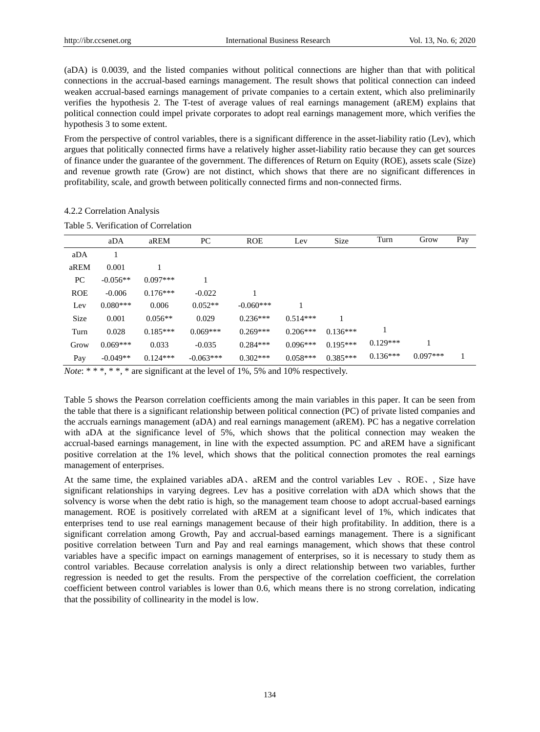(aDA) is 0.0039, and the listed companies without political connections are higher than that with political connections in the accrual-based earnings management. The result shows that political connection can indeed weaken accrual-based earnings management of private companies to a certain extent, which also preliminarily verifies the hypothesis 2. The T-test of average values of real earnings management (aREM) explains that political connection could impel private corporates to adopt real earnings management more, which verifies the hypothesis 3 to some extent.

From the perspective of control variables, there is a significant difference in the asset-liability ratio (Lev), which argues that politically connected firms have a relatively higher asset-liability ratio because they can get sources of finance under the guarantee of the government. The differences of Return on Equity (ROE), assets scale (Size) and revenue growth rate (Grow) are not distinct, which shows that there are no significant differences in profitability, scale, and growth between politically connected firms and non-connected firms.

|            | aDA        | aREM       | PC          | <b>ROE</b>  | Lev        | <b>Size</b> | Turn       | Grow       | Pay |
|------------|------------|------------|-------------|-------------|------------|-------------|------------|------------|-----|
| aDA        |            |            |             |             |            |             |            |            |     |
| aREM       | 0.001      |            |             |             |            |             |            |            |     |
| PC         | $-0.056**$ | $0.097***$ |             |             |            |             |            |            |     |
| <b>ROE</b> | $-0.006$   | $0.176***$ | $-0.022$    |             |            |             |            |            |     |
| Lev        | $0.080***$ | 0.006      | $0.052**$   | $-0.060***$ |            |             |            |            |     |
| Size       | 0.001      | $0.056**$  | 0.029       | $0.236***$  | $0.514***$ |             |            |            |     |
| Turn       | 0.028      | $0.185***$ | $0.069***$  | $0.269***$  | $0.206***$ | $0.136***$  |            |            |     |
| Grow       | $0.069***$ | 0.033      | $-0.035$    | $0.284***$  | $0.096***$ | $0.195***$  | $0.129***$ |            |     |
| Pay        | $-0.049**$ | $0.124***$ | $-0.063***$ | $0.302***$  | $0.058***$ | $0.385***$  | $0.136***$ | $0.097***$ |     |

## 4.2.2 Correlation Analysis

Table 5 Verification of Correlation

*Note*: \*\*\*, \*\*, \* are significant at the level of 1%, 5% and 10% respectively.

Table 5 shows the Pearson correlation coefficients among the main variables in this paper. It can be seen from the table that there is a significant relationship between political connection (PC) of private listed companies and the accruals earnings management (aDA) and real earnings management (aREM). PC has a negative correlation with aDA at the significance level of 5%, which shows that the political connection may weaken the accrual-based earnings management, in line with the expected assumption. PC and aREM have a significant positive correlation at the 1% level, which shows that the political connection promotes the real earnings management of enterprises.

At the same time, the explained variables aDA, aREM and the control variables Lev, ROE, Size have significant relationships in varying degrees. Lev has a positive correlation with aDA which shows that the solvency is worse when the debt ratio is high, so the management team choose to adopt accrual-based earnings management. ROE is positively correlated with aREM at a significant level of 1%, which indicates that enterprises tend to use real earnings management because of their high profitability. In addition, there is a significant correlation among Growth, Pay and accrual-based earnings management. There is a significant positive correlation between Turn and Pay and real earnings management, which shows that these control variables have a specific impact on earnings management of enterprises, so it is necessary to study them as control variables. Because correlation analysis is only a direct relationship between two variables, further regression is needed to get the results. From the perspective of the correlation coefficient, the correlation coefficient between control variables is lower than 0.6, which means there is no strong correlation, indicating that the possibility of collinearity in the model is low.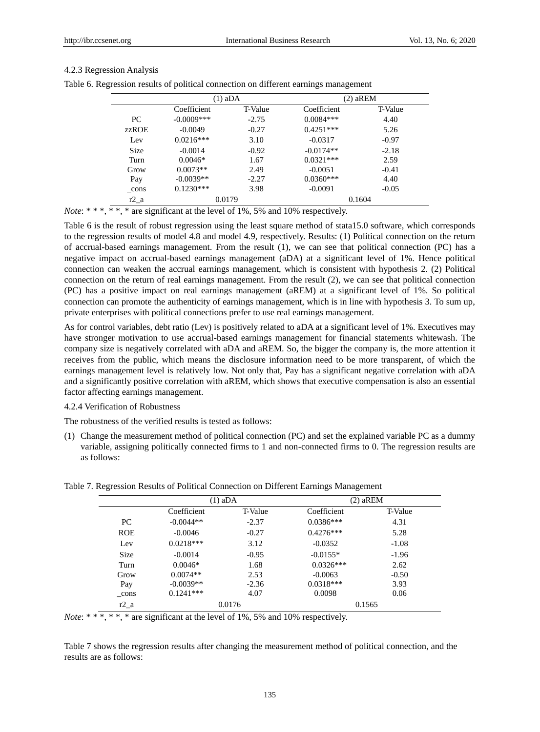#### 4.2.3 Regression Analysis

| Table 6. Regression results of political connection on different earnings management |  |  |  |
|--------------------------------------------------------------------------------------|--|--|--|
|--------------------------------------------------------------------------------------|--|--|--|

|             |               | (1) aDA | (2) aREM    |         |  |  |
|-------------|---------------|---------|-------------|---------|--|--|
|             | Coefficient   | T-Value | Coefficient | T-Value |  |  |
| PC.         | $-0.0009$ *** | $-2.75$ | $0.0084***$ | 4.40    |  |  |
| zzROE       | $-0.0049$     | $-0.27$ | $0.4251***$ | 5.26    |  |  |
| Lev         | $0.0216***$   | 3.10    | $-0.0317$   | $-0.97$ |  |  |
| <b>Size</b> | $-0.0014$     | $-0.92$ | $-0.0174**$ | $-2.18$ |  |  |
| Turn        | $0.0046*$     | 1.67    | $0.0321***$ | 2.59    |  |  |
| Grow        | $0.0073**$    | 2.49    | $-0.0051$   | $-0.41$ |  |  |
| Pay         | $-0.0039**$   | $-2.27$ | $0.0360***$ | 4.40    |  |  |
| cons        | $0.1230***$   | 3.98    | $-0.0091$   | $-0.05$ |  |  |
| $r2_a$      |               | 0.0179  |             | 0.1604  |  |  |

*Note*: \* \* \*, \* \*, \* are significant at the level of 1%, 5% and 10% respectively.

Table 6 is the result of robust regression using the least square method of stata15.0 software, which corresponds to the regression results of model 4.8 and model 4.9, respectively. Results: (1) Political connection on the return of accrual-based earnings management. From the result (1), we can see that political connection (PC) has a negative impact on accrual-based earnings management (aDA) at a significant level of 1%. Hence political connection can weaken the accrual earnings management, which is consistent with hypothesis 2. (2) Political connection on the return of real earnings management. From the result (2), we can see that political connection (PC) has a positive impact on real earnings management (aREM) at a significant level of 1%. So political connection can promote the authenticity of earnings management, which is in line with hypothesis 3. To sum up, private enterprises with political connections prefer to use real earnings management.

As for control variables, debt ratio (Lev) is positively related to aDA at a significant level of 1%. Executives may have stronger motivation to use accrual-based earnings management for financial statements whitewash. The company size is negatively correlated with aDA and aREM. So, the bigger the company is, the more attention it receives from the public, which means the disclosure information need to be more transparent, of which the earnings management level is relatively low. Not only that, Pay has a significant negative correlation with aDA and a significantly positive correlation with aREM, which shows that executive compensation is also an essential factor affecting earnings management.

#### 4.2.4 Verification of Robustness

The robustness of the verified results is tested as follows:

(1) Change the measurement method of political connection (PC) and set the explained variable PC as a dummy variable, assigning politically connected firms to 1 and non-connected firms to 0. The regression results are as follows:

|  |  | Table 7. Regression Results of Political Connection on Different Earnings Management |
|--|--|--------------------------------------------------------------------------------------|
|  |  |                                                                                      |

|            |             | $(1)$ aDA | $(2)$ aREM  |         |
|------------|-------------|-----------|-------------|---------|
|            | Coefficient | T-Value   | Coefficient | T-Value |
| PC         | $-0.0044**$ | $-2.37$   | $0.0386***$ | 4.31    |
| <b>ROE</b> | $-0.0046$   | $-0.27$   | $0.4276***$ | 5.28    |
| Lev        | $0.0218***$ | 3.12      | $-0.0352$   | $-1.08$ |
| Size       | $-0.0014$   | $-0.95$   | $-0.0155*$  | $-1.96$ |
| Turn       | $0.0046*$   | 1.68      | $0.0326***$ | 2.62    |
| Grow       | $0.0074**$  | 2.53      | $-0.0063$   | $-0.50$ |
| Pay        | $-0.0039**$ | $-2.36$   | $0.0318***$ | 3.93    |
| _cons      | $0.1241***$ | 4.07      | 0.0098      | 0.06    |
| $r2_a$     |             | 0.0176    |             | 0.1565  |

*Note*: \* \* \*, \* \*, \* are significant at the level of 1%, 5% and 10% respectively.

Table 7 shows the regression results after changing the measurement method of political connection, and the results are as follows: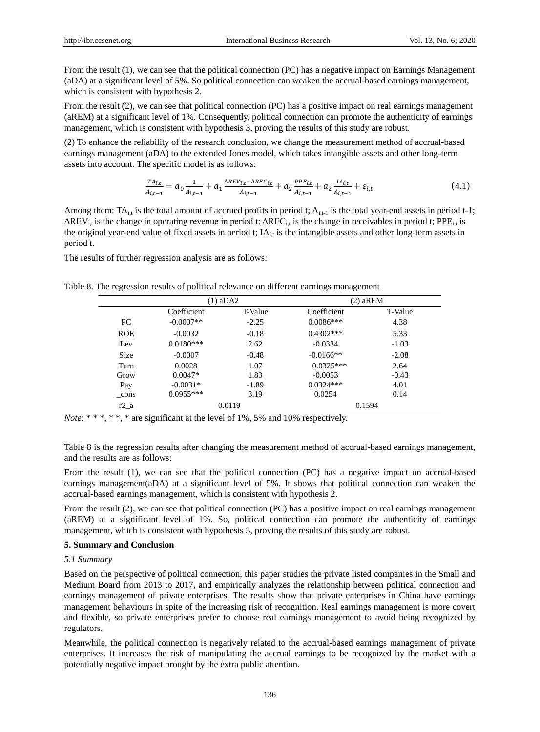From the result (1), we can see that the political connection (PC) has a negative impact on Earnings Management (aDA) at a significant level of 5%. So political connection can weaken the accrual-based earnings management. which is consistent with hypothesis 2.

From the result (2), we can see that political connection (PC) has a positive impact on real earnings management (aREM) at a significant level of 1%. Consequently, political connection can promote the authenticity of earnings management, which is consistent with hypothesis 3, proving the results of this study are robust.

(2) To enhance the reliability of the research conclusion, we change the measurement method of accrual-based earnings management (aDA) to the extended Jones model, which takes intangible assets and other long-term assets into account. The specific model is as follows:

$$
\frac{TA_{i,t}}{A_{i,t-1}} = a_0 \frac{1}{A_{i,t-1}} + a_1 \frac{\Delta REV_{i,t} - \Delta REC_{i,t}}{A_{i,t-1}} + a_2 \frac{PPE_{i,t}}{A_{i,t-1}} + a_2 \frac{IA_{i,t}}{A_{i,t-1}} + \varepsilon_{i,t}
$$
(4.1)

Among them: TA<sub>i,t</sub> is the total amount of accrued profits in period t;  $A_{i,t-1}$  is the total year-end assets in period t-1;  $\Delta$ REV<sub>it</sub> is the change in operating revenue in period t;  $\Delta$ REC<sub>it</sub> is the change in receivables in period t; PPE<sub>it</sub> is the original year-end value of fixed assets in period t;  $IA_{i}$  is the intangible assets and other long-term assets in period t.

The results of further regression analysis are as follows:

Table 8. The regression results of political relevance on different earnings management

|             |             | $(1)$ aDA2 |             | $(2)$ aREM |
|-------------|-------------|------------|-------------|------------|
|             | Coefficient | T-Value    | Coefficient | T-Value    |
| PC          | $-0.0007**$ | $-2.25$    | $0.0086***$ | 4.38       |
| <b>ROE</b>  | $-0.0032$   | $-0.18$    | $0.4302***$ | 5.33       |
| Lev         | $0.0180***$ | 2.62       | $-0.0334$   | $-1.03$    |
| <b>Size</b> | $-0.0007$   | $-0.48$    | $-0.0166**$ | $-2.08$    |
| Turn        | 0.0028      | 1.07       | $0.0325***$ | 2.64       |
| Grow        | $0.0047*$   | 1.83       | $-0.0053$   | $-0.43$    |
| Pay         | $-0.0031*$  | $-1.89$    | $0.0324***$ | 4.01       |
| _cons       | $0.0955***$ | 3.19       | 0.0254      | 0.14       |
| $r2_a$      |             | 0.0119     | 0.1594      |            |

*Note*: \*\*\*, \*\*, \* are significant at the level of 1%, 5% and 10% respectively.

Table 8 is the regression results after changing the measurement method of accrual-based earnings management, and the results are as follows:

From the result (1), we can see that the political connection (PC) has a negative impact on accrual-based earnings management (aDA) at a significant level of 5%. It shows that political connection can weaken the accrual-based earnings management, which is consistent with hypothesis 2.

From the result (2), we can see that political connection (PC) has a positive impact on real earnings management (aREM) at a significant level of 1%. So, political connection can promote the authenticity of earnings management, which is consistent with hypothesis 3, proving the results of this study are robust.

# 5. Summary and Conclusion

#### 5.1 Summary

Based on the perspective of political connection, this paper studies the private listed companies in the Small and Medium Board from 2013 to 2017, and empirically analyzes the relationship between political connection and earnings management of private enterprises. The results show that private enterprises in China have earnings management behaviours in spite of the increasing risk of recognition. Real earnings management is more covert and flexible, so private enterprises prefer to choose real earnings management to avoid being recognized by regulators.

Meanwhile, the political connection is negatively related to the accrual-based earnings management of private enterprises. It increases the risk of manipulating the accrual earnings to be recognized by the market with a potentially negative impact brought by the extra public attention.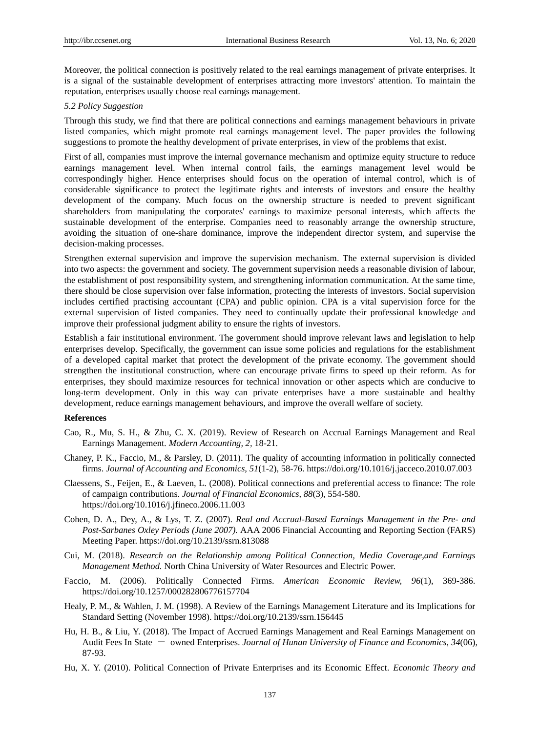Moreover, the political connection is positively related to the real earnings management of private enterprises. It is a signal of the sustainable development of enterprises attracting more investors' attention. To maintain the reputation, enterprises usually choose real earnings management.

## *5.2 Policy Suggestion*

Through this study, we find that there are political connections and earnings management behaviours in private listed companies, which might promote real earnings management level. The paper provides the following suggestions to promote the healthy development of private enterprises, in view of the problems that exist.

First of all, companies must improve the internal governance mechanism and optimize equity structure to reduce earnings management level. When internal control fails, the earnings management level would be correspondingly higher. Hence enterprises should focus on the operation of internal control, which is of considerable significance to protect the legitimate rights and interests of investors and ensure the healthy development of the company. Much focus on the ownership structure is needed to prevent significant shareholders from manipulating the corporates' earnings to maximize personal interests, which affects the sustainable development of the enterprise. Companies need to reasonably arrange the ownership structure, avoiding the situation of one-share dominance, improve the independent director system, and supervise the decision-making processes.

Strengthen external supervision and improve the supervision mechanism. The external supervision is divided into two aspects: the government and society. The government supervision needs a reasonable division of labour, the establishment of post responsibility system, and strengthening information communication. At the same time, there should be close supervision over false information, protecting the interests of investors. Social supervision includes certified practising accountant (CPA) and public opinion. CPA is a vital supervision force for the external supervision of listed companies. They need to continually update their professional knowledge and improve their professional judgment ability to ensure the rights of investors.

Establish a fair institutional environment. The government should improve relevant laws and legislation to help enterprises develop. Specifically, the government can issue some policies and regulations for the establishment of a developed capital market that protect the development of the private economy. The government should strengthen the institutional construction, where can encourage private firms to speed up their reform. As for enterprises, they should maximize resources for technical innovation or other aspects which are conducive to long-term development. Only in this way can private enterprises have a more sustainable and healthy development, reduce earnings management behaviours, and improve the overall welfare of society.

## **References**

- Cao, R., Mu, S. H., & Zhu, C. X. (2019). Review of Research on Accrual Earnings Management and Real Earnings Management. *Modern Accounting, 2,* 18-21.
- Chaney, P. K., Faccio, M., & Parsley, D. (2011). The quality of accounting information in politically connected firms. *Journal of Accounting and Economics, 51*(1-2), 58-76. https://doi.org/10.1016/j.jacceco.2010.07.003
- Claessens, S., Feijen, E., & Laeven, L. (2008). Political connections and preferential access to finance: The role of campaign contributions. *Journal of Financial Economics, 88*(3), 554-580. https://doi.org/10.1016/j.jfineco.2006.11.003
- Cohen, D. A., Dey, A., & Lys, T. Z. (2007). *Real and Accrual-Based Earnings Management in the Pre- and Post-Sarbanes Oxley Periods (June 2007).* AAA 2006 Financial Accounting and Reporting Section (FARS) Meeting Paper. https://doi.org/10.2139/ssrn.813088
- Cui, M. (2018). *Research on the Relationship among Political Connection, Media Coverage,and Earnings Management Method.* North China University of Water Resources and Electric Power.
- Faccio, M. (2006). Politically Connected Firms. *American Economic Review, 96*(1), 369-386. https://doi.org/10.1257/000282806776157704
- Healy, P. M., & Wahlen, J. M. (1998). A Review of the Earnings Management Literature and its Implications for Standard Setting (November 1998). https://doi.org/10.2139/ssrn.156445
- Hu, H. B., & Liu, Y. (2018). The Impact of Accrued Earnings Management and Real Earnings Management on Audit Fees In State  $-$  owned Enterprises. *Journal of Hunan University of Finance and Economics*, 34(06), 87-93.
- Hu, X. Y. (2010). Political Connection of Private Enterprises and its Economic Effect. *Economic Theory and*